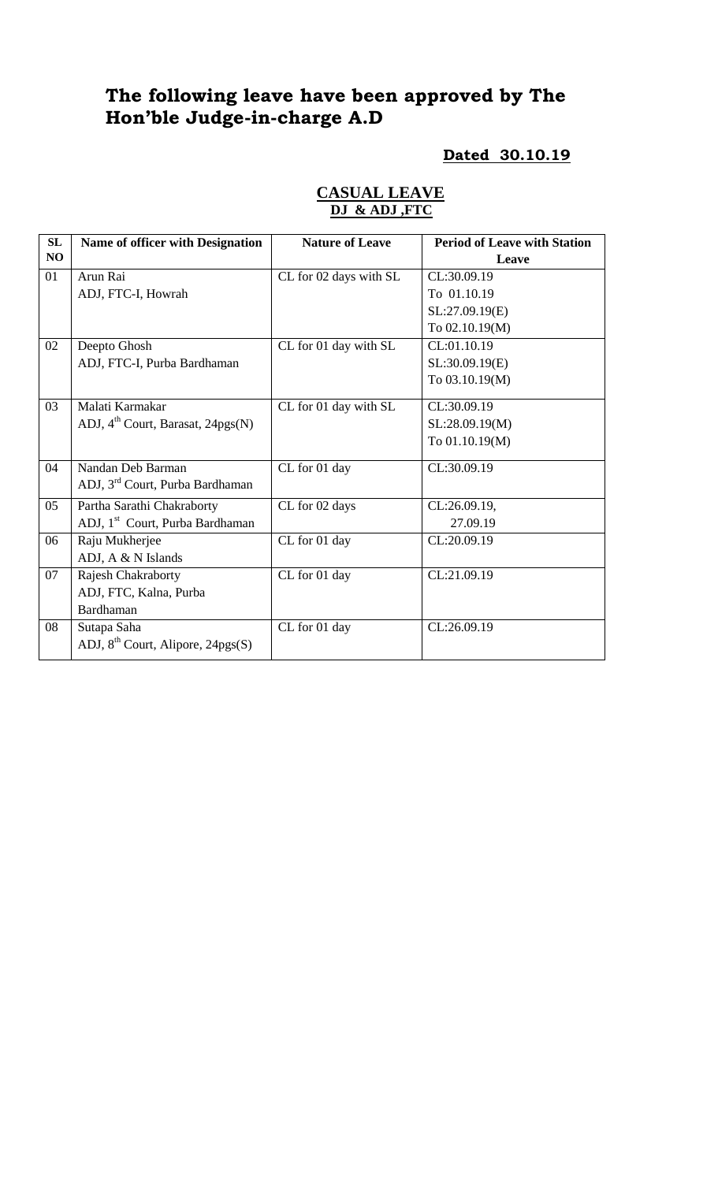# **The following leave have been approved by The Hon'ble Judge-in-charge A.D**

#### **Dated 30.10.19**

| SL |                                               |                        |                                     |
|----|-----------------------------------------------|------------------------|-------------------------------------|
|    | <b>Name of officer with Designation</b>       | <b>Nature of Leave</b> | <b>Period of Leave with Station</b> |
| NO |                                               |                        | Leave                               |
| 01 | Arun Rai                                      | CL for 02 days with SL | CL:30.09.19                         |
|    | ADJ, FTC-I, Howrah                            |                        | To 01.10.19                         |
|    |                                               |                        | SL:27.09.19(E)                      |
|    |                                               |                        | To 02.10.19(M)                      |
| 02 | Deepto Ghosh                                  | CL for 01 day with SL  | CL:01.10.19                         |
|    | ADJ, FTC-I, Purba Bardhaman                   |                        | SL:30.09.19(E)                      |
|    |                                               |                        | To 03.10.19(M)                      |
| 03 | Malati Karmakar                               | CL for 01 day with SL  | CL:30.09.19                         |
|    | ADJ, 4 <sup>th</sup> Court, Barasat, 24pgs(N) |                        | SL:28.09.19(M)                      |
|    |                                               |                        | To 01.10.19(M)                      |
|    |                                               |                        |                                     |
| 04 | Nandan Deb Barman                             | CL for 01 day          | CL:30.09.19                         |
|    | ADJ, 3 <sup>rd</sup> Court, Purba Bardhaman   |                        |                                     |
| 05 | Partha Sarathi Chakraborty                    | CL for 02 days         | CL:26.09.19,                        |
|    | ADJ, 1 <sup>st</sup> Court, Purba Bardhaman   |                        | 27.09.19                            |
| 06 | Raju Mukherjee                                | CL for 01 day          | CL:20.09.19                         |
|    | ADJ, A & N Islands                            |                        |                                     |
| 07 | Rajesh Chakraborty                            | CL for 01 day          | CL:21.09.19                         |
|    | ADJ, FTC, Kalna, Purba                        |                        |                                     |
|    | Bardhaman                                     |                        |                                     |
| 08 | Sutapa Saha                                   | CL for 01 day          | CL:26.09.19                         |
|    | ADJ, $8^{th}$ Court, Alipore, 24pgs(S)        |                        |                                     |
|    |                                               |                        |                                     |

## **CASUAL LEAVE DJ & ADJ ,FTC**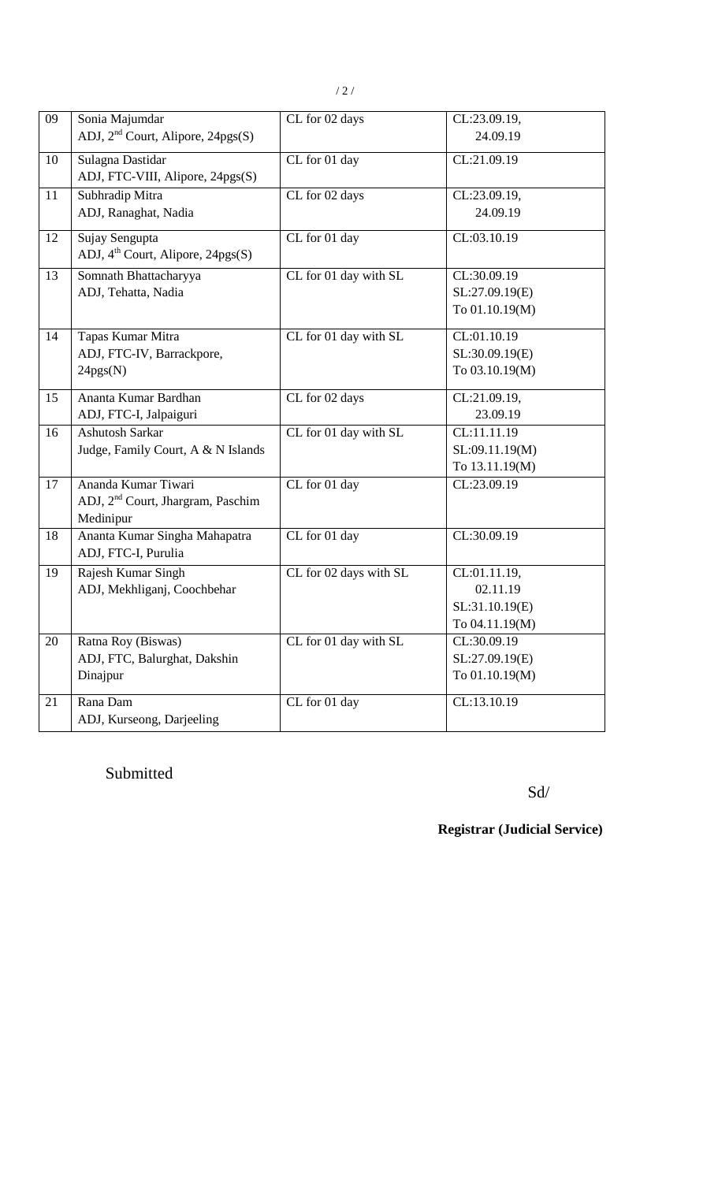| 09 | Sonia Majumdar<br>ADJ, $2nd$ Court, Alipore, $24pgs(S)$                           | CL for 02 days         | CL:23.09.19,<br>24.09.19                                     |
|----|-----------------------------------------------------------------------------------|------------------------|--------------------------------------------------------------|
| 10 | Sulagna Dastidar<br>ADJ, FTC-VIII, Alipore, 24pgs(S)                              | CL for 01 day          | CL:21.09.19                                                  |
| 11 | Subhradip Mitra<br>ADJ, Ranaghat, Nadia                                           | CL for 02 days         | CL:23.09.19,<br>24.09.19                                     |
| 12 | Sujay Sengupta<br>ADJ, $4^{\text{th}}$ Court, Alipore, 24pgs(S)                   | CL for 01 day          | CL:03.10.19                                                  |
| 13 | Somnath Bhattacharyya<br>ADJ, Tehatta, Nadia                                      | CL for 01 day with SL  | CL:30.09.19<br>SL:27.09.19(E)<br>To 01.10.19(M)              |
| 14 | Tapas Kumar Mitra<br>ADJ, FTC-IV, Barrackpore,<br>24pgs(N)                        | CL for 01 day with SL  | CL:01.10.19<br>SL:30.09.19(E)<br>To 03.10.19(M)              |
| 15 | Ananta Kumar Bardhan<br>ADJ, FTC-I, Jalpaiguri                                    | CL for 02 days         | CL:21.09.19,<br>23.09.19                                     |
| 16 | <b>Ashutosh Sarkar</b><br>Judge, Family Court, A & N Islands                      | CL for 01 day with SL  | CL:11.11.19<br>SL:09.11.19(M)<br>To 13.11.19(M)              |
| 17 | Ananda Kumar Tiwari<br>ADJ, 2 <sup>nd</sup> Court, Jhargram, Paschim<br>Medinipur | CL for 01 day          | CL:23.09.19                                                  |
| 18 | Ananta Kumar Singha Mahapatra<br>ADJ, FTC-I, Purulia                              | CL for 01 day          | CL:30.09.19                                                  |
| 19 | Rajesh Kumar Singh<br>ADJ, Mekhliganj, Coochbehar                                 | CL for 02 days with SL | CL:01.11.19,<br>02.11.19<br>SL:31.10.19(E)<br>To 04.11.19(M) |
| 20 | Ratna Roy (Biswas)<br>ADJ, FTC, Balurghat, Dakshin<br>Dinajpur                    | CL for 01 day with SL  | CL:30.09.19<br>SL:27.09.19(E)<br>To 01.10.19(M)              |
| 21 | Rana Dam<br>ADJ, Kurseong, Darjeeling                                             | CL for 01 day          | CL:13.10.19                                                  |

Submitted

Sd/

**Registrar (Judicial Service)**